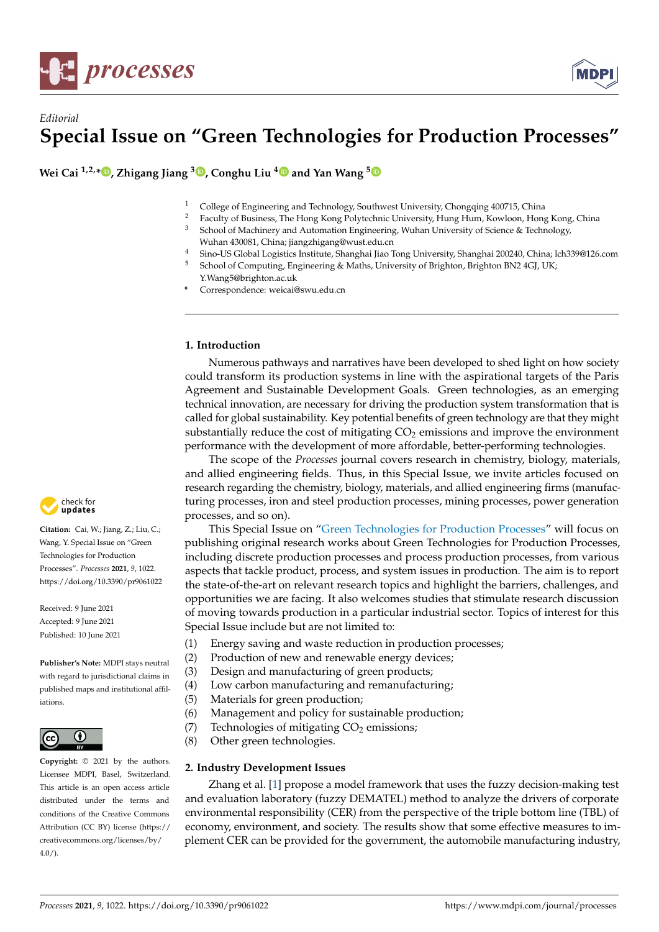

# *Editorial* **Special Issue on "Green Technologies for Production Processes"**

**Wei Cai 1,2,[\\*](https://orcid.org/0000-0003-0412-9197) , Zhigang Jiang <sup>3</sup> [,](https://orcid.org/0000-0002-2574-0086) Conghu Liu [4](https://orcid.org/0000-0001-6298-7988) and Yan Wang [5](https://orcid.org/0000-0002-5188-6695)**

- <sup>1</sup> College of Engineering and Technology, Southwest University, Chongqing 400715, China<br><sup>2</sup> Engilty of Particular The University University, University, University, Chongqing 400715, China
- <sup>2</sup> Faculty of Business, The Hong Kong Polytechnic University, Hung Hum, Kowloon, Hong Kong, China<br><sup>3</sup> School of Machiness and Automation Facinessing, Wahar University of Science & Technology School of Machinery and Automation Engineering, Wuhan University of Science & Technology,
- Wuhan 430081, China; jiangzhigang@wust.edu.cn
- <sup>4</sup> Sino-US Global Logistics Institute, Shanghai Jiao Tong University, Shanghai 200240, China; lch339@126.com<br><sup>5</sup> School of Computing, Engineering & Mathe University of Brighton, Brighton BN24CLUV.
- <sup>5</sup> School of Computing, Engineering & Maths, University of Brighton, Brighton BN2 4GJ, UK; Y.Wang5@brighton.ac.uk
- **\*** Correspondence: weicai@swu.edu.cn

## **1. Introduction**

Numerous pathways and narratives have been developed to shed light on how society could transform its production systems in line with the aspirational targets of the Paris Agreement and Sustainable Development Goals. Green technologies, as an emerging technical innovation, are necessary for driving the production system transformation that is called for global sustainability. Key potential benefits of green technology are that they might substantially reduce the cost of mitigating  $CO<sub>2</sub>$  emissions and improve the environment performance with the development of more affordable, better-performing technologies.

The scope of the *Processes* journal covers research in chemistry, biology, materials, and allied engineering fields. Thus, in this Special Issue, we invite articles focused on research regarding the chemistry, biology, materials, and allied engineering firms (manufacturing processes, iron and steel production processes, mining processes, power generation processes, and so on).

This Special Issue on ["Green Technologies for Production Processes"](https://www.mdpi.com/journal/processes/special_issues/green_production_process) will focus on publishing original research works about Green Technologies for Production Processes, including discrete production processes and process production processes, from various aspects that tackle product, process, and system issues in production. The aim is to report the state-of-the-art on relevant research topics and highlight the barriers, challenges, and opportunities we are facing. It also welcomes studies that stimulate research discussion of moving towards production in a particular industrial sector. Topics of interest for this Special Issue include but are not limited to:

- (1) Energy saving and waste reduction in production processes;
- (2) Production of new and renewable energy devices;
- (3) Design and manufacturing of green products;
- (4) Low carbon manufacturing and remanufacturing;
- (5) Materials for green production;
- (6) Management and policy for sustainable production;
- (7) Technologies of mitigating  $CO<sub>2</sub>$  emissions;
- (8) Other green technologies.

### **2. Industry Development Issues**

Zhang et al. [\[1\]](#page-3-0) propose a model framework that uses the fuzzy decision-making test and evaluation laboratory (fuzzy DEMATEL) method to analyze the drivers of corporate environmental responsibility (CER) from the perspective of the triple bottom line (TBL) of economy, environment, and society. The results show that some effective measures to implement CER can be provided for the government, the automobile manufacturing industry,



**Citation:** Cai, W.; Jiang, Z.; Liu, C.; Wang, Y. Special Issue on "Green Technologies for Production Processes". *Processes* **2021**, *9*, 1022. <https://doi.org/10.3390/pr9061022>

Received: 9 June 2021 Accepted: 9 June 2021 Published: 10 June 2021

**Publisher's Note:** MDPI stays neutral with regard to jurisdictional claims in published maps and institutional affiliations.



**Copyright:** © 2021 by the authors. Licensee MDPI, Basel, Switzerland. This article is an open access article distributed under the terms and conditions of the Creative Commons Attribution (CC BY) license (https:/[/](https://creativecommons.org/licenses/by/4.0/) [creativecommons.org/licenses/by/](https://creativecommons.org/licenses/by/4.0/)  $4.0/$ ).

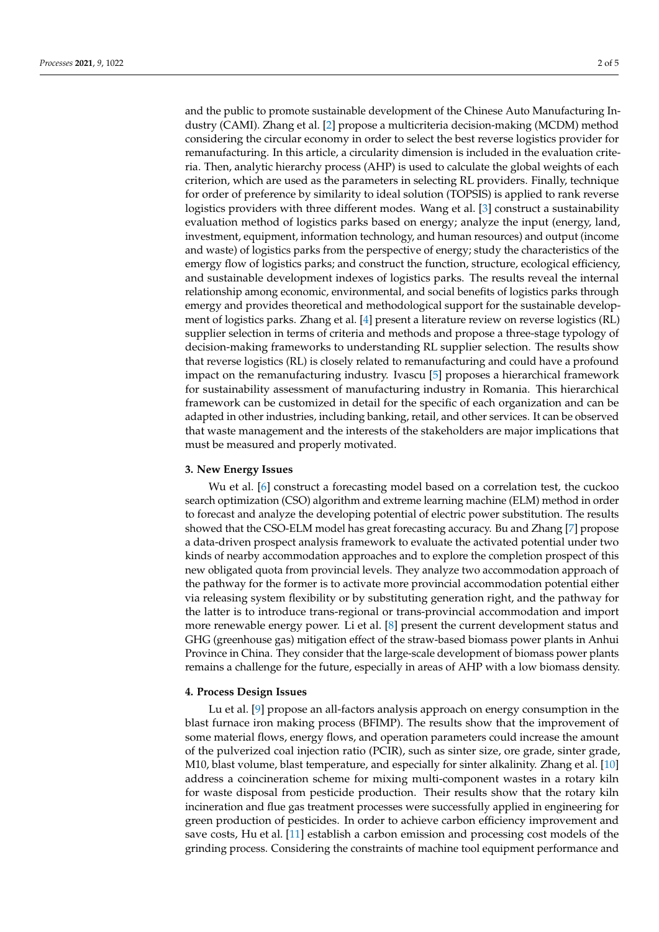and the public to promote sustainable development of the Chinese Auto Manufacturing Industry (CAMI). Zhang et al. [\[2\]](#page-3-1) propose a multicriteria decision-making (MCDM) method considering the circular economy in order to select the best reverse logistics provider for remanufacturing. In this article, a circularity dimension is included in the evaluation criteria. Then, analytic hierarchy process (AHP) is used to calculate the global weights of each criterion, which are used as the parameters in selecting RL providers. Finally, technique for order of preference by similarity to ideal solution (TOPSIS) is applied to rank reverse logistics providers with three different modes. Wang et al. [\[3\]](#page-3-2) construct a sustainability evaluation method of logistics parks based on energy; analyze the input (energy, land, investment, equipment, information technology, and human resources) and output (income and waste) of logistics parks from the perspective of energy; study the characteristics of the emergy flow of logistics parks; and construct the function, structure, ecological efficiency, and sustainable development indexes of logistics parks. The results reveal the internal relationship among economic, environmental, and social benefits of logistics parks through emergy and provides theoretical and methodological support for the sustainable development of logistics parks. Zhang et al. [\[4\]](#page-3-3) present a literature review on reverse logistics (RL) supplier selection in terms of criteria and methods and propose a three-stage typology of decision-making frameworks to understanding RL supplier selection. The results show that reverse logistics (RL) is closely related to remanufacturing and could have a profound impact on the remanufacturing industry. Ivascu [\[5\]](#page-3-4) proposes a hierarchical framework for sustainability assessment of manufacturing industry in Romania. This hierarchical framework can be customized in detail for the specific of each organization and can be adapted in other industries, including banking, retail, and other services. It can be observed that waste management and the interests of the stakeholders are major implications that must be measured and properly motivated.

#### **3. New Energy Issues**

Wu et al. [\[6\]](#page-3-5) construct a forecasting model based on a correlation test, the cuckoo search optimization (CSO) algorithm and extreme learning machine (ELM) method in order to forecast and analyze the developing potential of electric power substitution. The results showed that the CSO-ELM model has great forecasting accuracy. Bu and Zhang [\[7\]](#page-3-6) propose a data-driven prospect analysis framework to evaluate the activated potential under two kinds of nearby accommodation approaches and to explore the completion prospect of this new obligated quota from provincial levels. They analyze two accommodation approach of the pathway for the former is to activate more provincial accommodation potential either via releasing system flexibility or by substituting generation right, and the pathway for the latter is to introduce trans-regional or trans-provincial accommodation and import more renewable energy power. Li et al. [\[8\]](#page-3-7) present the current development status and GHG (greenhouse gas) mitigation effect of the straw-based biomass power plants in Anhui Province in China. They consider that the large-scale development of biomass power plants remains a challenge for the future, especially in areas of AHP with a low biomass density.

#### **4. Process Design Issues**

Lu et al. [\[9\]](#page-3-8) propose an all-factors analysis approach on energy consumption in the blast furnace iron making process (BFIMP). The results show that the improvement of some material flows, energy flows, and operation parameters could increase the amount of the pulverized coal injection ratio (PCIR), such as sinter size, ore grade, sinter grade, M10, blast volume, blast temperature, and especially for sinter alkalinity. Zhang et al. [\[10\]](#page-3-9) address a coincineration scheme for mixing multi-component wastes in a rotary kiln for waste disposal from pesticide production. Their results show that the rotary kiln incineration and flue gas treatment processes were successfully applied in engineering for green production of pesticides. In order to achieve carbon efficiency improvement and save costs, Hu et al. [\[11\]](#page-3-10) establish a carbon emission and processing cost models of the grinding process. Considering the constraints of machine tool equipment performance and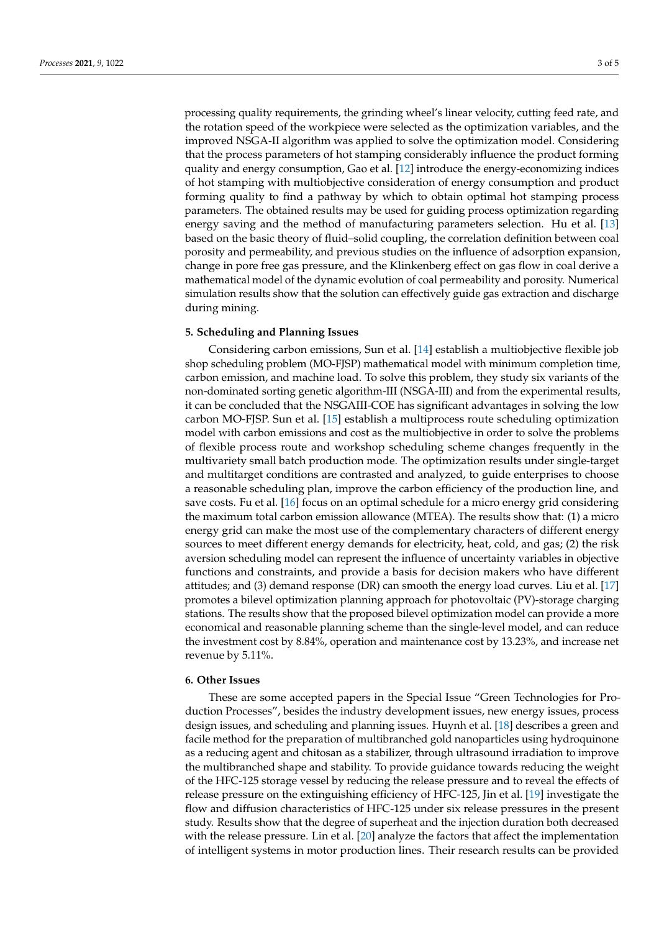processing quality requirements, the grinding wheel's linear velocity, cutting feed rate, and the rotation speed of the workpiece were selected as the optimization variables, and the improved NSGA-II algorithm was applied to solve the optimization model. Considering that the process parameters of hot stamping considerably influence the product forming quality and energy consumption, Gao et al. [\[12\]](#page-3-11) introduce the energy-economizing indices of hot stamping with multiobjective consideration of energy consumption and product forming quality to find a pathway by which to obtain optimal hot stamping process parameters. The obtained results may be used for guiding process optimization regarding energy saving and the method of manufacturing parameters selection. Hu et al. [\[13\]](#page-3-12) based on the basic theory of fluid–solid coupling, the correlation definition between coal porosity and permeability, and previous studies on the influence of adsorption expansion, change in pore free gas pressure, and the Klinkenberg effect on gas flow in coal derive a mathematical model of the dynamic evolution of coal permeability and porosity. Numerical simulation results show that the solution can effectively guide gas extraction and discharge during mining.

## **5. Scheduling and Planning Issues**

Considering carbon emissions, Sun et al. [\[14\]](#page-3-13) establish a multiobjective flexible job shop scheduling problem (MO-FJSP) mathematical model with minimum completion time, carbon emission, and machine load. To solve this problem, they study six variants of the non-dominated sorting genetic algorithm-III (NSGA-III) and from the experimental results, it can be concluded that the NSGAIII-COE has significant advantages in solving the low carbon MO-FJSP. Sun et al. [\[15\]](#page-3-14) establish a multiprocess route scheduling optimization model with carbon emissions and cost as the multiobjective in order to solve the problems of flexible process route and workshop scheduling scheme changes frequently in the multivariety small batch production mode. The optimization results under single-target and multitarget conditions are contrasted and analyzed, to guide enterprises to choose a reasonable scheduling plan, improve the carbon efficiency of the production line, and save costs. Fu et al. [\[16\]](#page-3-15) focus on an optimal schedule for a micro energy grid considering the maximum total carbon emission allowance (MTEA). The results show that: (1) a micro energy grid can make the most use of the complementary characters of different energy sources to meet different energy demands for electricity, heat, cold, and gas; (2) the risk aversion scheduling model can represent the influence of uncertainty variables in objective functions and constraints, and provide a basis for decision makers who have different attitudes; and (3) demand response (DR) can smooth the energy load curves. Liu et al. [\[17\]](#page-4-0) promotes a bilevel optimization planning approach for photovoltaic (PV)-storage charging stations. The results show that the proposed bilevel optimization model can provide a more economical and reasonable planning scheme than the single-level model, and can reduce the investment cost by 8.84%, operation and maintenance cost by 13.23%, and increase net revenue by 5.11%.

#### **6. Other Issues**

These are some accepted papers in the Special Issue "Green Technologies for Production Processes", besides the industry development issues, new energy issues, process design issues, and scheduling and planning issues. Huynh et al. [\[18\]](#page-4-1) describes a green and facile method for the preparation of multibranched gold nanoparticles using hydroquinone as a reducing agent and chitosan as a stabilizer, through ultrasound irradiation to improve the multibranched shape and stability. To provide guidance towards reducing the weight of the HFC-125 storage vessel by reducing the release pressure and to reveal the effects of release pressure on the extinguishing efficiency of HFC-125, Jin et al. [\[19\]](#page-4-2) investigate the flow and diffusion characteristics of HFC-125 under six release pressures in the present study. Results show that the degree of superheat and the injection duration both decreased with the release pressure. Lin et al. [\[20\]](#page-4-3) analyze the factors that affect the implementation of intelligent systems in motor production lines. Their research results can be provided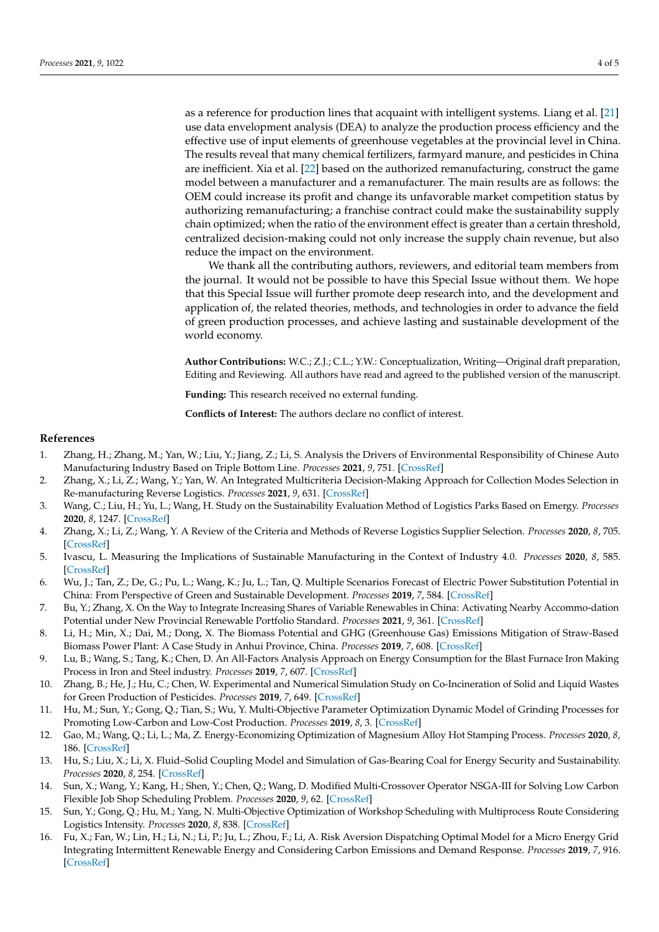as a reference for production lines that acquaint with intelligent systems. Liang et al. [\[21\]](#page-4-4) use data envelopment analysis (DEA) to analyze the production process efficiency and the effective use of input elements of greenhouse vegetables at the provincial level in China. The results reveal that many chemical fertilizers, farmyard manure, and pesticides in China are inefficient. Xia et al. [\[22\]](#page-4-5) based on the authorized remanufacturing, construct the game model between a manufacturer and a remanufacturer. The main results are as follows: the OEM could increase its profit and change its unfavorable market competition status by authorizing remanufacturing; a franchise contract could make the sustainability supply chain optimized; when the ratio of the environment effect is greater than a certain threshold, centralized decision-making could not only increase the supply chain revenue, but also reduce the impact on the environment.

We thank all the contributing authors, reviewers, and editorial team members from the journal. It would not be possible to have this Special Issue without them. We hope that this Special Issue will further promote deep research into, and the development and application of, the related theories, methods, and technologies in order to advance the field of green production processes, and achieve lasting and sustainable development of the world economy.

**Author Contributions:** W.C.; Z.J.; C.L.; Y.W.: Conceptualization, Writing—Original draft preparation, Editing and Reviewing. All authors have read and agreed to the published version of the manuscript.

**Funding:** This research received no external funding.

**Conflicts of Interest:** The authors declare no conflict of interest.

#### **References**

- <span id="page-3-0"></span>1. Zhang, H.; Zhang, M.; Yan, W.; Liu, Y.; Jiang, Z.; Li, S. Analysis the Drivers of Environmental Responsibility of Chinese Auto Manufacturing Industry Based on Triple Bottom Line. *Processes* **2021**, *9*, 751. [\[CrossRef\]](http://doi.org/10.3390/pr9050751)
- <span id="page-3-1"></span>2. Zhang, X.; Li, Z.; Wang, Y.; Yan, W. An Integrated Multicriteria Decision-Making Approach for Collection Modes Selection in Re-manufacturing Reverse Logistics. *Processes* **2021**, *9*, 631. [\[CrossRef\]](http://doi.org/10.3390/pr9040631)
- <span id="page-3-2"></span>3. Wang, C.; Liu, H.; Yu, L.; Wang, H. Study on the Sustainability Evaluation Method of Logistics Parks Based on Emergy. *Processes* **2020**, *8*, 1247. [\[CrossRef\]](http://doi.org/10.3390/pr8101247)
- <span id="page-3-3"></span>4. Zhang, X.; Li, Z.; Wang, Y. A Review of the Criteria and Methods of Reverse Logistics Supplier Selection. *Processes* **2020**, *8*, 705. [\[CrossRef\]](http://doi.org/10.3390/pr8060705)
- <span id="page-3-4"></span>5. Ivascu, L. Measuring the Implications of Sustainable Manufacturing in the Context of Industry 4.0. *Processes* **2020**, *8*, 585. [\[CrossRef\]](http://doi.org/10.3390/pr8050585)
- <span id="page-3-5"></span>6. Wu, J.; Tan, Z.; De, G.; Pu, L.; Wang, K.; Ju, L.; Tan, Q. Multiple Scenarios Forecast of Electric Power Substitution Potential in China: From Perspective of Green and Sustainable Development. *Processes* **2019**, *7*, 584. [\[CrossRef\]](http://doi.org/10.3390/pr7090584)
- <span id="page-3-6"></span>7. Bu, Y.; Zhang, X. On the Way to Integrate Increasing Shares of Variable Renewables in China: Activating Nearby Accommo-dation Potential under New Provincial Renewable Portfolio Standard. *Processes* **2021**, *9*, 361. [\[CrossRef\]](http://doi.org/10.3390/pr9020361)
- <span id="page-3-7"></span>8. Li, H.; Min, X.; Dai, M.; Dong, X. The Biomass Potential and GHG (Greenhouse Gas) Emissions Mitigation of Straw-Based Biomass Power Plant: A Case Study in Anhui Province, China. *Processes* **2019**, *7*, 608. [\[CrossRef\]](http://doi.org/10.3390/pr7090608)
- <span id="page-3-8"></span>9. Lu, B.; Wang, S.; Tang, K.; Chen, D. An All-Factors Analysis Approach on Energy Consumption for the Blast Furnace Iron Making Process in Iron and Steel industry. *Processes* **2019**, *7*, 607. [\[CrossRef\]](http://doi.org/10.3390/pr7090607)
- <span id="page-3-9"></span>10. Zhang, B.; He, J.; Hu, C.; Chen, W. Experimental and Numerical Simulation Study on Co-Incineration of Solid and Liquid Wastes for Green Production of Pesticides. *Processes* **2019**, *7*, 649. [\[CrossRef\]](http://doi.org/10.3390/pr7100649)
- <span id="page-3-10"></span>11. Hu, M.; Sun, Y.; Gong, Q.; Tian, S.; Wu, Y. Multi-Objective Parameter Optimization Dynamic Model of Grinding Processes for Promoting Low-Carbon and Low-Cost Production. *Processes* **2019**, *8*, 3. [\[CrossRef\]](http://doi.org/10.3390/pr8010003)
- <span id="page-3-11"></span>12. Gao, M.; Wang, Q.; Li, L.; Ma, Z. Energy-Economizing Optimization of Magnesium Alloy Hot Stamping Process. *Processes* **2020**, *8*, 186. [\[CrossRef\]](http://doi.org/10.3390/pr8020186)
- <span id="page-3-12"></span>13. Hu, S.; Liu, X.; Li, X. Fluid–Solid Coupling Model and Simulation of Gas-Bearing Coal for Energy Security and Sustainability. *Processes* **2020**, *8*, 254. [\[CrossRef\]](http://doi.org/10.3390/pr8020254)
- <span id="page-3-13"></span>14. Sun, X.; Wang, Y.; Kang, H.; Shen, Y.; Chen, Q.; Wang, D. Modified Multi-Crossover Operator NSGA-III for Solving Low Carbon Flexible Job Shop Scheduling Problem. *Processes* **2020**, *9*, 62. [\[CrossRef\]](http://doi.org/10.3390/pr9010062)
- <span id="page-3-14"></span>15. Sun, Y.; Gong, Q.; Hu, M.; Yang, N. Multi-Objective Optimization of Workshop Scheduling with Multiprocess Route Considering Logistics Intensity. *Processes* **2020**, *8*, 838. [\[CrossRef\]](http://doi.org/10.3390/pr8070838)
- <span id="page-3-15"></span>16. Fu, X.; Fan, W.; Lin, H.; Li, N.; Li, P.; Ju, L.; Zhou, F.; Li, A. Risk Aversion Dispatching Optimal Model for a Micro Energy Grid Integrating Intermittent Renewable Energy and Considering Carbon Emissions and Demand Response. *Processes* **2019**, *7*, 916. [\[CrossRef\]](http://doi.org/10.3390/pr7120916)